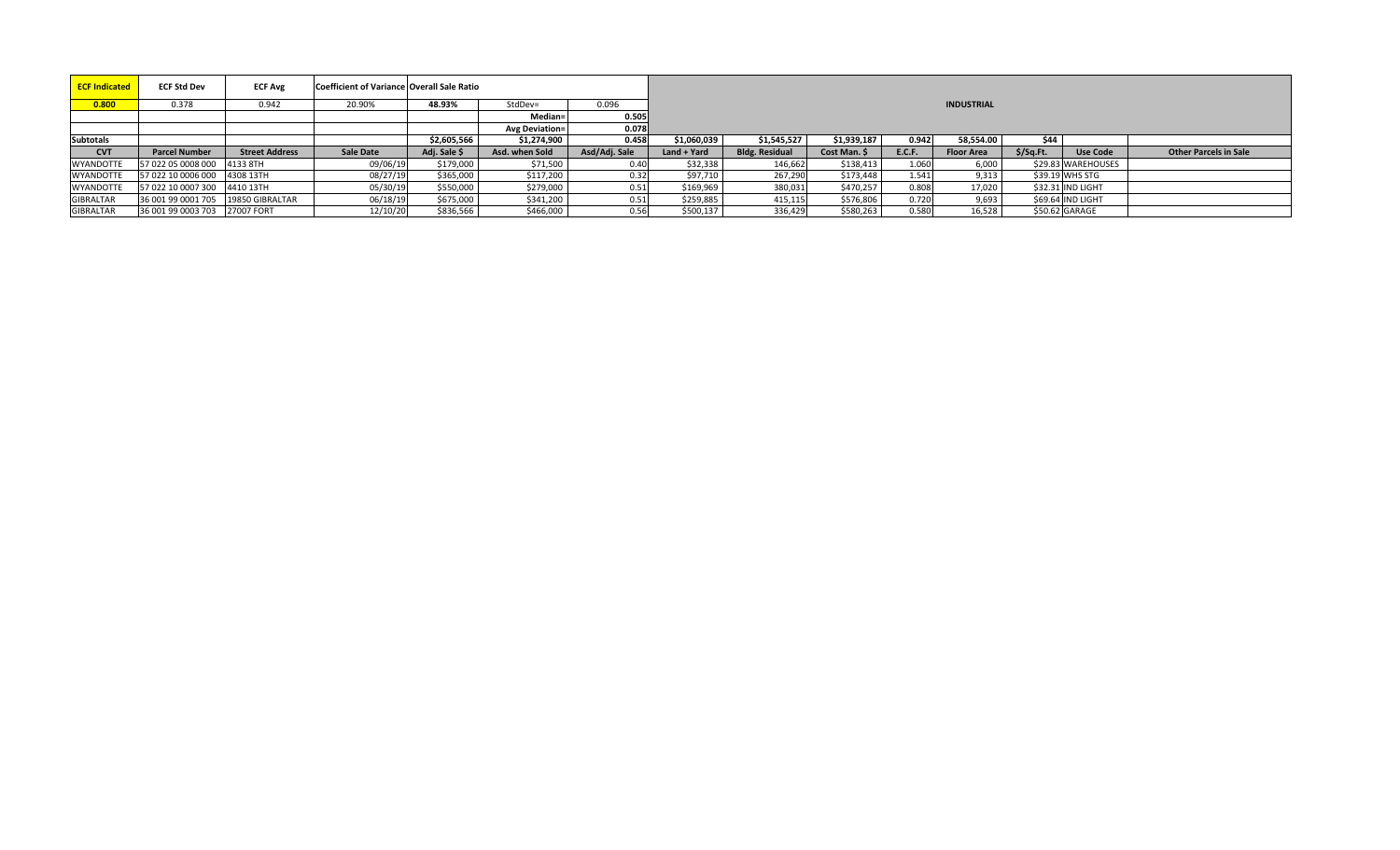| <b>ECF Indicated</b> | <b>ECF Std Dev</b>                 | <b>ECF Avg</b>        | Coefficient of Variance Overall Sale Ratio |              |                       |               |             |                       |              |               |                   |           |                    |                              |
|----------------------|------------------------------------|-----------------------|--------------------------------------------|--------------|-----------------------|---------------|-------------|-----------------------|--------------|---------------|-------------------|-----------|--------------------|------------------------------|
| 0.800                | 0.378                              | 0.942                 | 20.90%                                     | 48.93%       | StdDev=               | 0.096         |             |                       |              |               | <b>INDUSTRIAL</b> |           |                    |                              |
|                      |                                    |                       |                                            |              | Median=l              | 0.505         |             |                       |              |               |                   |           |                    |                              |
|                      |                                    |                       |                                            |              | <b>Avg Deviation=</b> | 0.078         |             |                       |              |               |                   |           |                    |                              |
| <b>Subtotals</b>     |                                    |                       |                                            | \$2.605.566  | \$1,274,900           | 0.458         | \$1,060,039 | \$1,545,527           | \$1.939.187  | 0.942         | 58.554.00         | \$44      |                    |                              |
| <b>CVT</b>           | <b>Parcel Number</b>               | <b>Street Address</b> | Sale Date                                  | Adj. Sale \$ | Asd. when Sold        | Asd/Adj. Sale | Land + Yard | <b>Bldg. Residual</b> | Cost Man. \$ | <b>E.C.F.</b> | <b>Floor Area</b> | \$/Sq.Ft. | <b>Use Code</b>    | <b>Other Parcels in Sale</b> |
| <b>WYANDOTTE</b>     | 57 022 05 0008 000 4133 8TH        |                       | 09/06/19                                   | \$179,000    | \$71,500              | 0.40          | \$32,338    | 146,662               | \$138,413    | 1.060         | 6,000             |           | \$29.83 WAREHOUSES |                              |
| <b>WYANDOTTE</b>     | 57 022 10 0006 000 4308 13TH       |                       | 08/27/19                                   | \$365,000    | \$117,200             | 0.32          | \$97,710    | 267,290               | \$173,448    | 1.541         | 9,313             |           | \$39.19 WHS STG    |                              |
| <b>WYANDOTTE</b>     | 57 022 10 0007 300 4410 13TH       |                       | 05/30/19                                   | \$550,000    | \$279,000             | 0.51          | \$169,969   | 380,031               | \$470,257    | 0.808         | 17,020            |           | \$32.31 IND LIGHT  |                              |
| <b>GIBRALTAR</b>     | 36 001 99 0001 705 19850 GIBRALTAR |                       | 06/18/19                                   | \$675,000    | \$341,200             | 0.51          | \$259,885   | 415,115               | \$576,806    | 0.720         | 9,693             |           | \$69.64 IND LIGHT  |                              |
| <b>GIBRALTAR</b>     | 36 001 99 0003 703 27007 FORT      |                       | 12/10/20                                   | \$836,566    | \$466,000             | 0.56          | \$500,137   | 336,429               | \$580,263    | 0.580         | 16,528            |           | \$50.62 GARAGE     |                              |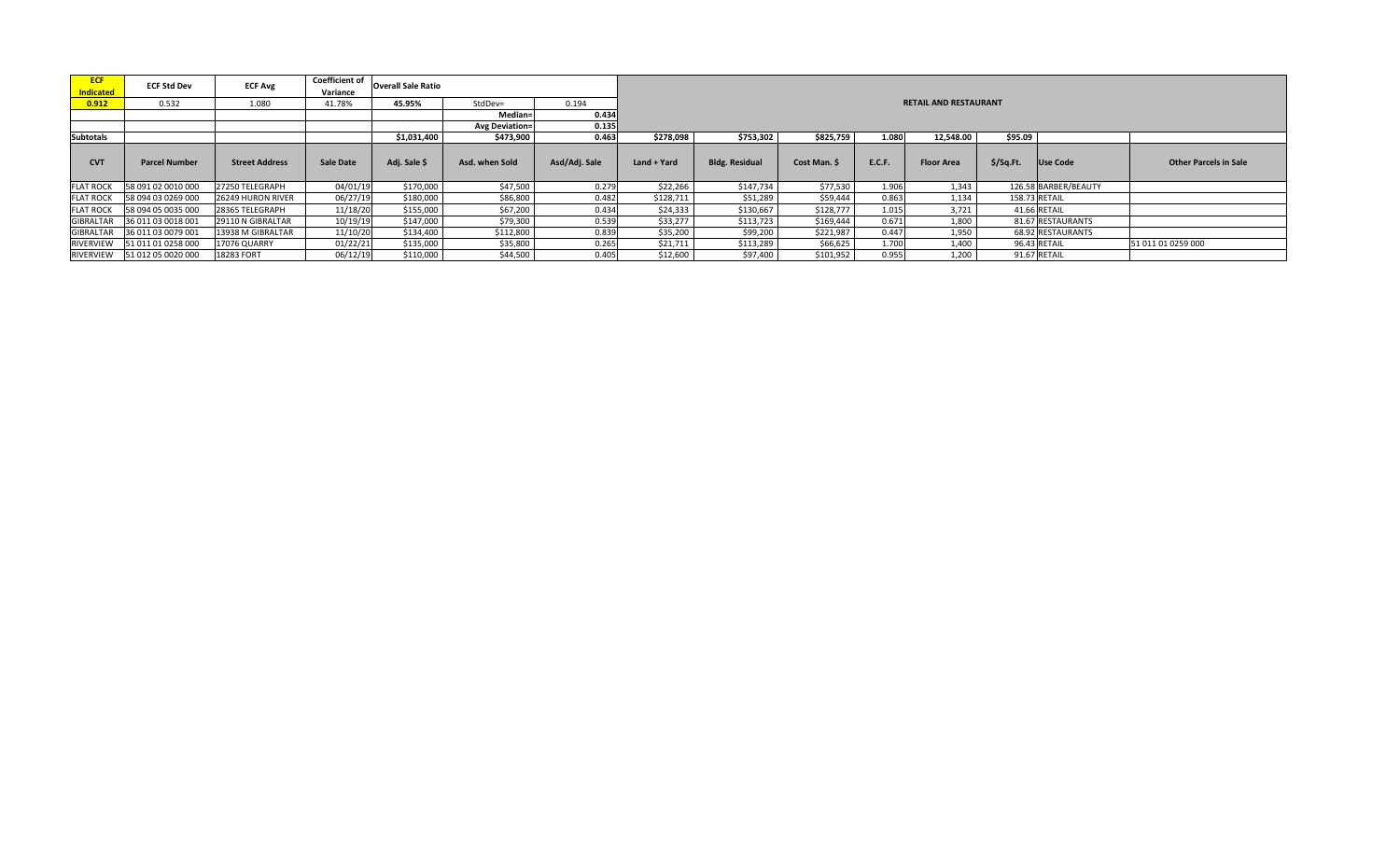| <b>ECF</b><br><b>Indicated</b> | <b>ECF Std Dev</b>   | <b>ECF Avg</b>        | <b>Coefficient of</b><br>Variance | <b>Overall Sale Ratio</b> |                       |               |             |                       |              |               |                              |               |                      |                              |  |  |
|--------------------------------|----------------------|-----------------------|-----------------------------------|---------------------------|-----------------------|---------------|-------------|-----------------------|--------------|---------------|------------------------------|---------------|----------------------|------------------------------|--|--|
| 0.912                          | 0.532                | 1.080                 | 41.78%                            | 45.95%                    | StdDev=               | 0.194         |             |                       |              |               | <b>RETAIL AND RESTAURANT</b> |               |                      |                              |  |  |
|                                |                      |                       |                                   |                           | Median=               | 0.434         |             |                       |              |               |                              |               |                      |                              |  |  |
|                                |                      |                       |                                   |                           | <b>Avg Deviation=</b> | 0.135         |             |                       |              |               |                              |               |                      |                              |  |  |
| <b>Subtotals</b>               |                      |                       |                                   | \$1,031,400               | \$473,900             | 0.463         | \$278,098   | \$753,302             | \$825,759    | 1.080         | 12,548.00                    | \$95.09       |                      |                              |  |  |
| <b>CVT</b>                     | <b>Parcel Number</b> | <b>Street Address</b> | Sale Date                         | Adj. Sale \$              | Asd. when Sold        | Asd/Adj. Sale | Land + Yard | <b>Bldg. Residual</b> | Cost Man. \$ | <b>E.C.F.</b> | <b>Floor Area</b>            | $$$ /Sq.Ft.   | Use Code             | <b>Other Parcels in Sale</b> |  |  |
| <b>FLAT ROCK</b>               | 58 091 02 0010 000   | 27250 TELEGRAPH       | 04/01/19                          | \$170,000                 | \$47,500              | 0.279         | \$22,266    | \$147,734             | \$77,530     | 1.906         | 1.343                        |               | 126.58 BARBER/BEAUTY |                              |  |  |
| <b>FLAT ROCK</b>               | 58 094 03 0269 000   | 26249 HURON RIVER     | 06/27/19                          | \$180,000                 | \$86,800              | 0.482         | \$128,711   | \$51,289              | \$59,444     | 0.863         | 1,134                        | 158.73 RETAIL |                      |                              |  |  |
| <b>FLAT ROCK</b>               | 58 094 05 0035 000   | 28365 TELEGRAPH       | 11/18/20                          | \$155,000                 | \$67,200              | 0.434         | \$24,333    | \$130,667             | \$128,777    | 1.015         | 3,721                        |               | 41.66 RETAIL         |                              |  |  |
| <b>GIBRALTAR</b>               | 36 011 03 0018 001   | 29110 N GIBRALTAR     | 10/19/19                          | \$147,000                 | \$79,300              | 0.539         | \$33,277    | \$113,723             | \$169,444    | 0.672         | 1,800                        |               | 81.67 RESTAURANTS    |                              |  |  |
| <b>GIBRALTAR</b>               | 36 011 03 0079 001   | 13938 M GIBRALTAR     | 11/10/20                          | \$134,400                 | \$112,800             | 0.839         | \$35,200    | \$99,200              | \$221,987    | 0.447         | 1,950                        |               | 68.92 RESTAURANTS    |                              |  |  |
| RIVERVIEW                      | 51 011 01 0258 000   | 17076 QUARRY          | 01/22/21                          | \$135,000                 | \$35,800              | 0.265         | \$21,711    | \$113,289             | \$66,625     | 1.700         | 1,400                        |               | 96.43 RETAIL         | 51 011 01 0259 000           |  |  |
| RIVERVIEW                      | 51 012 05 0020 000   | 18283 FORT            | 06/12/19                          | \$110,000                 | \$44,500              | 0.405         | \$12,600    | \$97,400              | \$101,952    | 0.955         | 1,200                        |               | 91.67 RETAIL         |                              |  |  |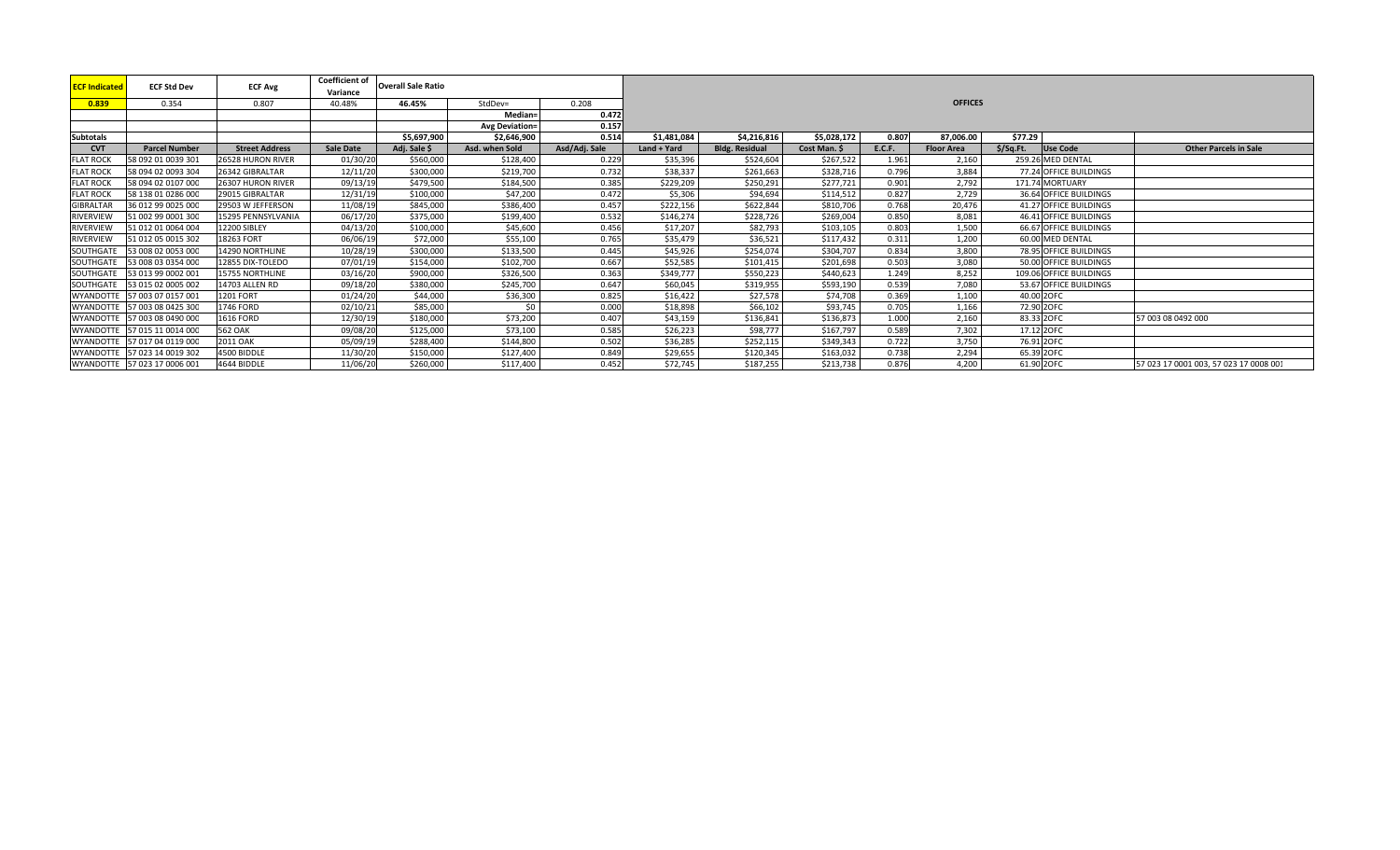| <b>ECF Indicated</b> | <b>ECF Std Dev</b>           | <b>ECF Avg</b>        | <b>Coefficient of</b><br>Variance | <b>Overall Sale Ratio</b> |                       |               |             |                       |              |               |                   |             |                         |                                        |
|----------------------|------------------------------|-----------------------|-----------------------------------|---------------------------|-----------------------|---------------|-------------|-----------------------|--------------|---------------|-------------------|-------------|-------------------------|----------------------------------------|
| 0.839                | 0.354                        | 0.807                 | 40.48%                            | 46.45%                    | StdDev=               | 0.208         |             |                       |              |               | <b>OFFICES</b>    |             |                         |                                        |
|                      |                              |                       |                                   |                           | Median-               | 0.472         |             |                       |              |               |                   |             |                         |                                        |
|                      |                              |                       |                                   |                           | <b>Avg Deviation=</b> | 0.157         |             |                       |              |               |                   |             |                         |                                        |
| <b>Subtotals</b>     |                              |                       |                                   | \$5,697,900               | \$2,646,900           | 0.514         | \$1,481,084 | \$4,216,816           | \$5,028,172  | 0.807         | 87,006.00         | \$77.29     |                         |                                        |
| <b>CVT</b>           | <b>Parcel Number</b>         | <b>Street Address</b> | <b>Sale Date</b>                  | Adj. Sale \$              | Asd. when Sold        | Asd/Adj. Sale | Land + Yard | <b>Bldg. Residual</b> | Cost Man. \$ | <b>E.C.F.</b> | <b>Floor Area</b> | $$$ /Sq.Ft. | Use Code                | <b>Other Parcels in Sale</b>           |
| <b>FLAT ROCK</b>     | 58 092 01 0039 301           | 26528 HURON RIVER     | 01/30/20                          | \$560,000                 | \$128,400             | 0.229         | \$35,396    | \$524,604             | \$267,522    | 1.961         | 2.160             |             | 259.26 MED DENTAL       |                                        |
| <b>FLAT ROCK</b>     | 58 094 02 0093 304           | 26342 GIBRALTAR       | 12/11/20                          | \$300,000                 | \$219,700             | 0.732         | \$38,337    | \$261,663             | \$328,716    | 0.796         | 3,884             |             | 77.24 OFFICE BUILDINGS  |                                        |
| <b>FLAT ROCK</b>     | 58 094 02 0107 000           | 26307 HURON RIVER     | 09/13/19                          | \$479,500                 | \$184,500             | 0.385         | \$229,209   | \$250,291             | \$277,721    | 0.901         | 2,792             |             | 171.74 MORTUARY         |                                        |
| <b>FLAT ROCK</b>     | 58 138 01 0286 000           | 29015 GIBRALTAR       | 12/31/19                          | \$100,000                 | \$47,200              | 0.472         | \$5,306     | \$94,694              | \$114,512    | 0.827         | 2,729             |             | 36.64 OFFICE BUILDINGS  |                                        |
| GIBRALTAR            | 36 012 99 0025 000           | 29503 W JEFFERSON     | 11/08/19                          | \$845,000                 | \$386,400             | 0.457         | \$222,156   | \$622,844             | \$810,706    | 0.768         | 20,476            |             | 41.27 OFFICE BUILDINGS  |                                        |
| RIVERVIEW            | 51 002 99 0001 300           | 15295 PENNSYLVANIA    | 06/17/20                          | \$375,000                 | \$199,400             | 0.532         | \$146,274   | \$228,726             | \$269,004    | 0.85C         | 8,081             |             | 46.41 OFFICE BUILDINGS  |                                        |
| RIVERVIEW            | 51 012 01 0064 004           | <b>12200 SIBLEY</b>   | 04/13/20                          | \$100,000                 | \$45,600              | 0.456         | \$17,207    | \$82,793              | \$103,105    | 0.803         | 1,500             |             | 66.67 OFFICE BUILDINGS  |                                        |
| <b>RIVERVIEW</b>     | 51 012 05 0015 302           | 18263 FORT            | 06/06/19                          | \$72,000                  | \$55,100              | 0.765         | \$35,479    | \$36,521              | \$117,432    | 0.311         | 1,200             |             | 60.00 MED DENTAL        |                                        |
| SOUTHGATE            | 53 008 02 0053 000           | 14290 NORTHLINE       | 10/28/19                          | \$300,000                 | \$133,500             | 0.445         | \$45,926    | \$254,074             | \$304,707    | 0.834         | 3,800             |             | 78.95 OFFICE BUILDINGS  |                                        |
| SOUTHGATE            | 53 008 03 0354 000           | 12855 DIX-TOLEDO      | 07/01/19                          | \$154,000                 | \$102,700             | 0.667         | \$52,585    | \$101,415             | \$201,698    | 0.503         | 3,080             |             | 50.00 OFFICE BUILDINGS  |                                        |
| SOUTHGATE            | 53 013 99 0002 001           | 15755 NORTHLINE       | 03/16/20                          | \$900,000                 | \$326,500             | 0.363         | \$349,777   | \$550,223             | \$440,623    | 1.249         | 8,252             |             | 109.06 OFFICE BUILDINGS |                                        |
| SOUTHGATE            | 53 015 02 0005 002           | 14703 ALLEN RD        | 09/18/20                          | \$380,000                 | \$245,700             | 0.647         | \$60,045    | \$319,955             | \$593,190    | 0.539         | 7,080             |             | 53.67 OFFICE BUILDINGS  |                                        |
| WYANDOTTI            | 57 003 07 0157 001           | <b>1201 FORT</b>      | 01/24/20                          | \$44,000                  | \$36,300              | 0.825         | \$16,422    | \$27,578              | \$74,708     | 0.369         | 1,100             |             | 40.00 2OFC              |                                        |
| <b>WYANDOTTE</b>     | 57 003 08 0425 300           | 1746 FORD             | 02/10/21                          | \$85,000                  | \$0                   | 0.000         | \$18,898    | \$66,102              | \$93,745     | 0.705         | 1,166             |             | 72.90 2OFC              |                                        |
|                      | WYANDOTTE 57 003 08 0490 000 | <b>1616 FORD</b>      | 12/30/19                          | \$180,000                 | \$73,200              | 0.407         | \$43,159    | \$136,841             | \$136,873    | 1.000         | 2,160             | 83.33 2OFC  |                         | 57 003 08 0492 000                     |
| WYANDOTTE            | 57 015 11 0014 000           | <b>562 OAK</b>        | 09/08/20                          | \$125,000                 | \$73,100              | 0.585         | \$26,223    | \$98,777              | \$167,797    | 0.589         | 7.302             | 17.12 2OFC  |                         |                                        |
| <b>WYANDOTTE</b>     | 57 017 04 0119 000           | 2011 OAK              | 05/09/19                          | \$288,400                 | \$144,800             | 0.502         | \$36,285    | \$252,115             | \$349,343    | 0.722         | 3.750             |             | 76.91 2OFC              |                                        |
| <b>WYANDOTTE</b>     | 57 023 14 0019 302           | 4500 BIDDLE           | 11/30/20                          | \$150,000                 | \$127,400             | 0.849         | \$29,655    | \$120,345             | \$163,032    | 0.738         | 2.294             | 65.39 2OFC  |                         |                                        |
|                      | WYANDOTTE 57 023 17 0006 001 | 4644 BIDDLE           | 11/06/20                          | \$260,000                 | \$117,400             | 0.452         | \$72,745    | \$187,255             | \$213,738    | 0.876         | 4.200             | 61.90 2OFC  |                         | 57 023 17 0001 003, 57 023 17 0008 001 |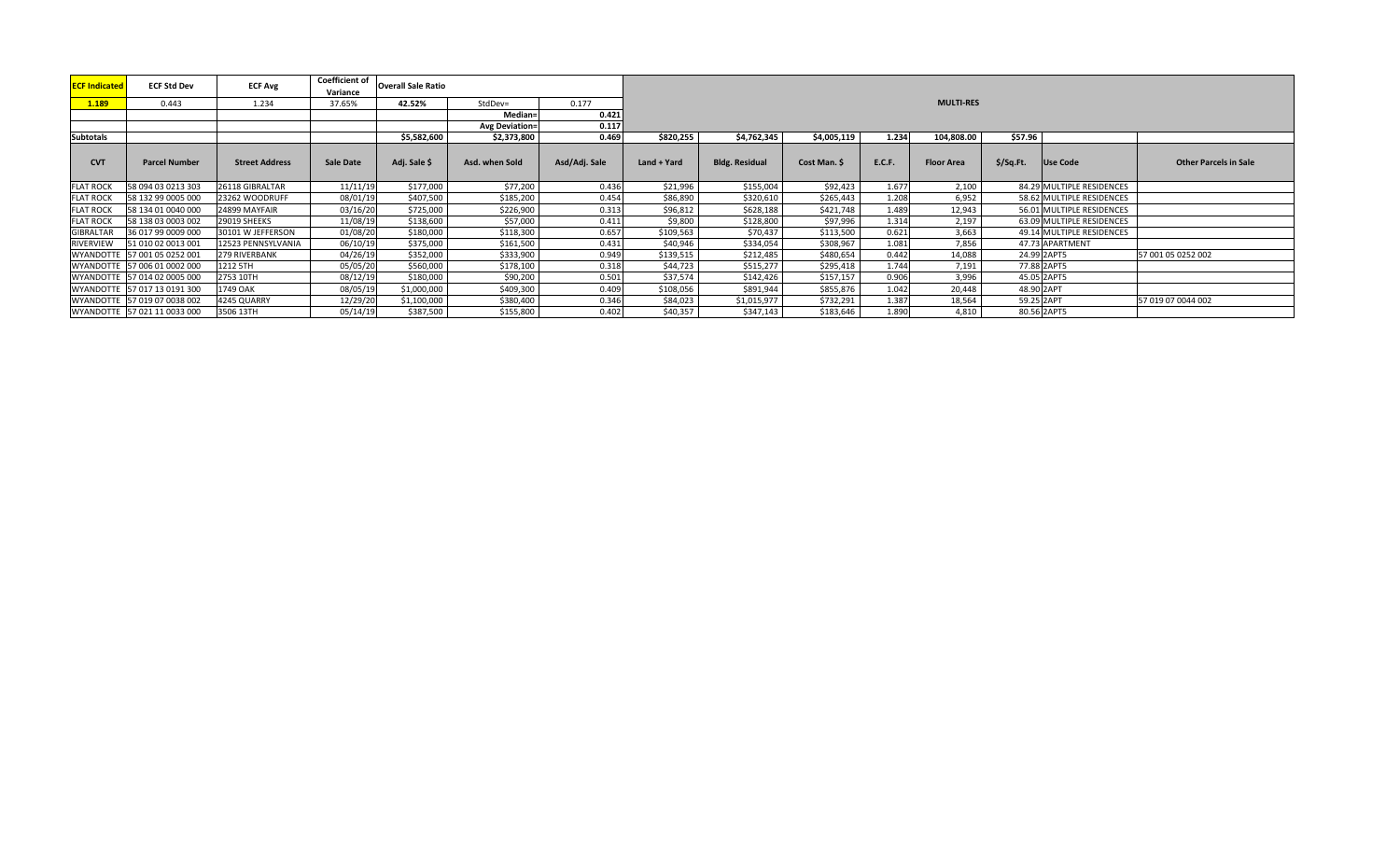| <b>ECF Indicated</b> | <b>ECF Std Dev</b>           | <b>ECF Avg</b>        | <b>Coefficient of</b><br>Variance | <b>Overall Sale Ratio</b> |                       |               |             |                       |              |        |                   |           |                           |                              |
|----------------------|------------------------------|-----------------------|-----------------------------------|---------------------------|-----------------------|---------------|-------------|-----------------------|--------------|--------|-------------------|-----------|---------------------------|------------------------------|
| 1.189                | 0.443                        | 1.234                 | 37.65%                            | 42.52%                    | StdDev=               | 0.177         |             |                       |              |        | <b>MULTI-RES</b>  |           |                           |                              |
|                      |                              |                       |                                   |                           | Median=               | 0.421         |             |                       |              |        |                   |           |                           |                              |
|                      |                              |                       |                                   |                           | <b>Avg Deviation=</b> | 0.117         |             |                       |              |        |                   |           |                           |                              |
| <b>Subtotals</b>     |                              |                       |                                   | \$5,582,600               | \$2,373,800           | 0.469         | \$820,255   | \$4,762,345           | \$4,005,119  | 1.234  | 104,808.00        | \$57.96   |                           |                              |
| <b>CVT</b>           | <b>Parcel Number</b>         | <b>Street Address</b> | <b>Sale Date</b>                  | Adj. Sale \$              | Asd. when Sold        | Asd/Adj. Sale | Land + Yard | <b>Bldg. Residual</b> | Cost Man. \$ | E.C.F. | <b>Floor Area</b> | \$/Sq.Ft. | Use Code                  | <b>Other Parcels in Sale</b> |
| <b>FLAT ROCK</b>     | 58 094 03 0213 303           | 26118 GIBRALTAR       | 11/11/19                          | \$177,000                 | \$77,200              | 0.436         | \$21,996    | \$155,004             | \$92,423     | 1.677  | 2,100             |           | 84.29 MULTIPLE RESIDENCES |                              |
| <b>FLAT ROCK</b>     | 58 132 99 0005 000           | 23262 WOODRUFF        | 08/01/19                          | \$407,500                 | \$185,200             | 0.454         | \$86,890    | \$320,610             | \$265,443    | 1.208  | 6,952             |           | 58.62 MULTIPLE RESIDENCES |                              |
| <b>FLAT ROCK</b>     | 58 134 01 0040 000           | 24899 MAYFAIR         | 03/16/20                          | \$725,000                 | \$226,900             | 0.313         | \$96,812    | \$628,188             | \$421,748    | 1.489  | 12,943            |           | 56.01 MULTIPLE RESIDENCES |                              |
| <b>FLAT ROCK</b>     | 58 138 03 0003 002           | 29019 SHEEKS          | 11/08/19                          | \$138,600                 | \$57,000              | 0.411         | \$9,800     | \$128,800             | \$97,996     | 1.314  | 2,197             |           | 63.09 MULTIPLE RESIDENCES |                              |
| GIBRALTAR            | 36 017 99 0009 000           | 30101 W JEFFERSON     | 01/08/20                          | \$180,000                 | \$118,300             | 0.657         | \$109,563   | \$70,437              | \$113,500    | 0.621  | 3,663             |           | 49.14 MULTIPLE RESIDENCES |                              |
| RIVERVIEW            | 51 010 02 0013 001           | 12523 PENNSYLVANIA    | 06/10/19                          | \$375,000                 | \$161,500             | 0.431         | \$40,946    | \$334,054             | \$308,967    | 1.081  | 7.856             |           | 47.73 APARTMENT           |                              |
|                      | WYANDOTTE 57 001 05 0252 001 | 279 RIVERBANK         | 04/26/19                          | \$352,000                 | \$333,900             | 0.949         | \$139,515   | \$212,485             | \$480,654    | 0.442  | 14,088            |           | 24.99 2APT5               | 57 001 05 0252 002           |
|                      | WYANDOTTE 57 006 01 0002 000 | 1212 5TH              | 05/05/20                          | \$560,000                 | \$178,100             | 0.318         | \$44,723    | \$515,277             | \$295,418    | 1.744  | 7,191             |           | 77.88 2APT5               |                              |
|                      | WYANDOTTE 57 014 02 0005 000 | 2753 10TH             | 08/12/19                          | \$180,000                 | \$90,200              | 0.501         | \$37,574    | \$142,426             | \$157,157    | 0.906  | 3,996             |           | 45.05 2APT5               |                              |
|                      | WYANDOTTE 57 017 13 0191 300 | 1749 OAK              | 08/05/19                          | \$1,000,000               | \$409,300             | 0.409         | \$108,056   | \$891,944             | \$855,876    | 1.042  | 20,448            |           | 48.90 2APT                |                              |
|                      | WYANDOTTE 57 019 07 0038 002 | 4245 QUARRY           | 12/29/20                          | \$1,100,000               | \$380,400             | 0.346         | \$84,023    | \$1,015,977           | \$732,291    | 1.387  | 18,564            |           | 59.25 2APT                | 57 019 07 0044 002           |
|                      | WYANDOTTE 57 021 11 0033 000 | 3506 13TH             | 05/14/19                          | \$387,500                 | \$155,800             | 0.402         | \$40,357    | \$347,143             | \$183,646    | 1.890  | 4,810             |           | 80.56 2APT5               |                              |